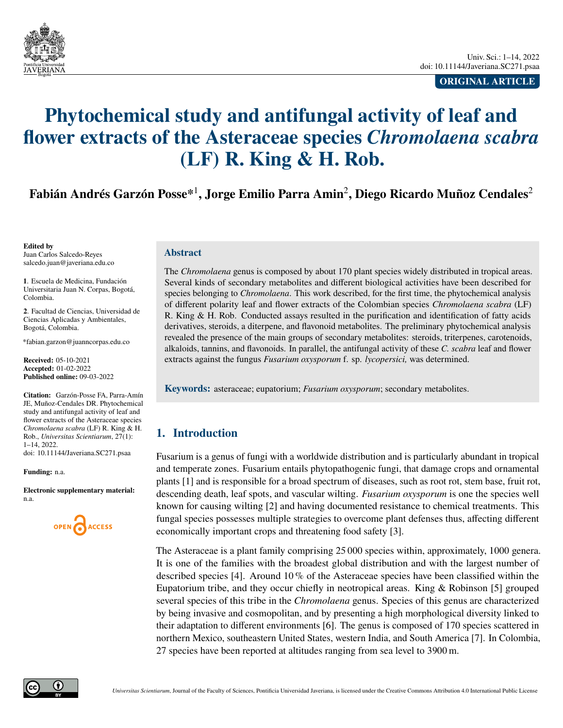<span id="page-0-0"></span>

**ORIGINAL ARTICLE**

# **Phytochemical study and antifungal activity of leaf and flower extracts of the Asteraceae species** *Chromolaena scabra* **(LF) R. King & H. Rob.**

**Fabián Andrés Garzón Posse\***<sup>1</sup> **, Jorge Emilio Parra Amin**<sup>2</sup> **, Diego Ricardo Muñoz Cendales**<sup>2</sup>

**Edited by** Juan Carlos Salcedo-Reyes [salcedo.juan@javeriana.edu.co](mailto:salcedo.juan@javeriana.edu.co)

**1**. Escuela de Medicina, Fundación Universitaria Juan N. Corpas, Bogotá, Colombia.

**2**. Facultad de Ciencias, Universidad de Ciencias Aplicadas y Ambientales, Bogotá, Colombia.

[\\*fabian.garzon@juanncorpas.edu.co](mailto:fabian.garzon@juanncorpas.edu.co)

**Received:** 05-10-2021 **Accepted:** 01-02-2022 **Published online:** 09-03-2022

**Citation:** Garzón-Posse FA, Parra-Amín JE, Muñoz-Cendales DR. Phytochemical study and antifungal activity of leaf and flower extracts of the Asteraceae species *Chromolaena scabra* (LF) R. King & H. Rob., *Universitas Scientiarum*, 27(1): 1–14, 2022. doi: 10.11144/Javeriana.SC271.psaa

**Funding:** n.a.

**Electronic supplementary material:** n.a.



## **Abstract**

The *Chromolaena* genus is composed by about 170 plant species widely distributed in tropical areas. Several kinds of secondary metabolites and different biological activities have been described for species belonging to *Chromolaena*. This work described, for the first time, the phytochemical analysis of different polarity leaf and flower extracts of the Colombian species *Chromolaena scabra* (LF) R. King & H. Rob. Conducted assays resulted in the purification and identification of fatty acids derivatives, steroids, a diterpene, and flavonoid metabolites. The preliminary phytochemical analysis revealed the presence of the main groups of secondary metabolites: steroids, triterpenes, carotenoids, alkaloids, tannins, and flavonoids. In parallel, the antifungal activity of these *C. scabra* leaf and flower extracts against the fungus *Fusarium oxysporum* f. sp. *lycopersici,* was determined.

**Keywords:** asteraceae; eupatorium; *Fusarium oxysporum*; secondary metabolites.

# **1. Introduction**

Fusarium is a genus of fungi with a worldwide distribution and is particularly abundant in tropical and temperate zones. Fusarium entails phytopathogenic fungi, that damage crops and ornamental plants [\[1\]](#page-8-0) and is responsible for a broad spectrum of diseases, such as root rot, stem base, fruit rot, descending death, leaf spots, and vascular wilting. *Fusarium oxysporum* is one the species well known for causing wilting [\[2\]](#page-8-1) and having documented resistance to chemical treatments. This fungal species possesses multiple strategies to overcome plant defenses thus, affecting different economically important crops and threatening food safety [\[3\]](#page-8-2).

The Asteraceae is a plant family comprising 25 000 species within, approximately, 1000 genera. It is one of the families with the broadest global distribution and with the largest number of described species [\[4\]](#page-8-3). Around 10 % of the Asteraceae species have been classified within the Eupatorium tribe, and they occur chiefly in neotropical areas. King  $\&$  Robinson [\[5\]](#page-8-4) grouped several species of this tribe in the *Chromolaena* genus. Species of this genus are characterized by being invasive and cosmopolitan, and by presenting a high morphological diversity linked to their adaptation to different environments [\[6\]](#page-8-5). The genus is composed of 170 species scattered in northern Mexico, southeastern United States, western India, and South America [\[7\]](#page-8-6). In Colombia, 27 species have been reported at altitudes ranging from sea level to 3900 m.

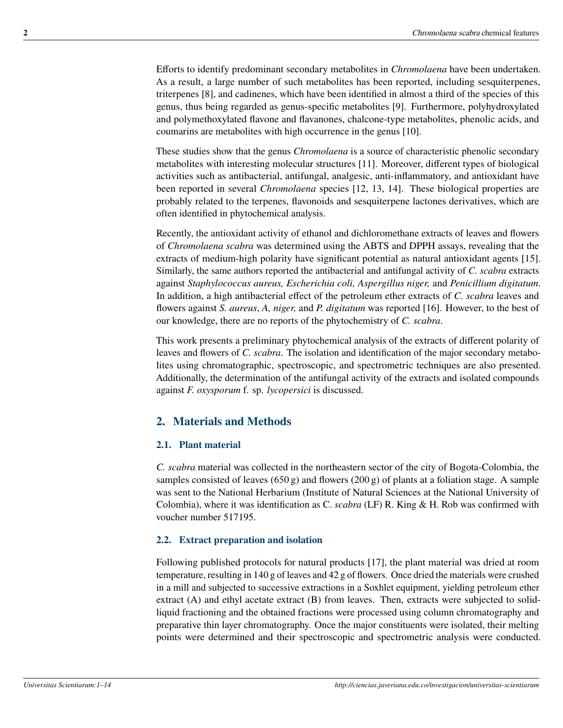Efforts to identify predominant secondary metabolites in *Chromolaena* have been undertaken. As a result, a large number of such metabolites has been reported, including sesquiterpenes, triterpenes [\[8\]](#page-8-7), and cadinenes, which have been identified in almost a third of the species of this genus, thus being regarded as genus-specific metabolites [\[9\]](#page-9-0). Furthermore, polyhydroxylated and polymethoxylated flavone and flavanones, chalcone-type metabolites, phenolic acids, and coumarins are metabolites with high occurrence in the genus [\[10\]](#page-9-1).

These studies show that the genus *Chromolaena* is a source of characteristic phenolic secondary metabolites with interesting molecular structures [\[11\]](#page-9-2). Moreover, different types of biological activities such as antibacterial, antifungal, analgesic, anti-inflammatory, and antioxidant have been reported in several *Chromolaena* species [\[12,](#page-9-3) [13,](#page-9-4) [14\]](#page-9-5). These biological properties are probably related to the terpenes, flavonoids and sesquiterpene lactones derivatives, which are often identified in phytochemical analysis.

Recently, the antioxidant activity of ethanol and dichloromethane extracts of leaves and flowers of *Chromolaena scabra* was determined using the ABTS and DPPH assays, revealing that the extracts of medium-high polarity have significant potential as natural antioxidant agents [\[15\]](#page-9-6). Similarly, the same authors reported the antibacterial and antifungal activity of *C. scabra* extracts against *Staphylococcus aureus, Escherichia coli, Aspergillus niger,* and *Penicillium digitatum*. In addition, a high antibacterial effect of the petroleum ether extracts of *C. scabra* leaves and flowers against *S. aureus*, *A, niger,* and *P. digitatum* was reported [\[16\]](#page-9-7). However, to the best of our knowledge, there are no reports of the phytochemistry of *C. scabra*.

This work presents a preliminary phytochemical analysis of the extracts of different polarity of leaves and flowers of *C. scabra*. The isolation and identification of the major secondary metabolites using chromatographic, spectroscopic, and spectrometric techniques are also presented. Additionally, the determination of the antifungal activity of the extracts and isolated compounds against *F. oxysporum* f. sp. *lycopersici* is discussed.

# **2. Materials and Methods**

## **2.1. Plant material**

*C. scabra* material was collected in the northeastern sector of the city of Bogota-Colombia, the samples consisted of leaves  $(650 g)$  and flowers  $(200 g)$  of plants at a foliation stage. A sample was sent to the National Herbarium (Institute of Natural Sciences at the National University of Colombia), where it was identification as C. *scabra* (LF) R. King & H. Rob was confirmed with voucher number 517195.

## **2.2. Extract preparation and isolation**

Following published protocols for natural products [\[17\]](#page-9-8), the plant material was dried at room temperature, resulting in 140 g of leaves and 42 g of flowers. Once dried the materials were crushed in a mill and subjected to successive extractions in a Soxhlet equipment, yielding petroleum ether extract (A) and ethyl acetate extract (B) from leaves. Then, extracts were subjected to solidliquid fractioning and the obtained fractions were processed using column chromatography and preparative thin layer chromatography. Once the major constituents were isolated, their melting points were determined and their spectroscopic and spectrometric analysis were conducted.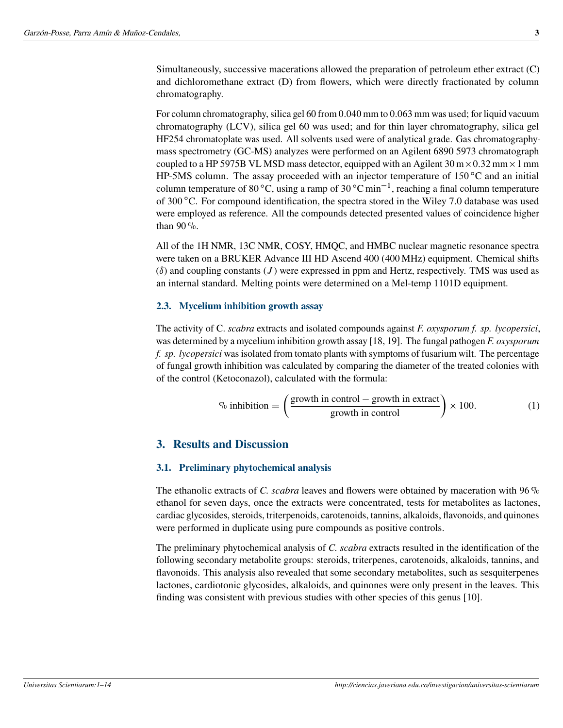Simultaneously, successive macerations allowed the preparation of petroleum ether extract (C) and dichloromethane extract (D) from flowers, which were directly fractionated by column chromatography.

For column chromatography, silica gel 60 from 0:040 mm to 0:063 mm was used; for liquid vacuum chromatography (LCV), silica gel 60 was used; and for thin layer chromatography, silica gel HF254 chromatoplate was used. All solvents used were of analytical grade. Gas chromatographymass spectrometry (GC-MS) analyzes were performed on an Agilent 6890 5973 chromatograph coupled to a HP 5975B VL MSD mass detector, equipped with an Agilent  $30 \text{ m} \times 0.32 \text{ mm} \times 1 \text{ mm}$ HP-5MS column. The assay proceeded with an injector temperature of  $150^{\circ}$ C and an initial column temperature of 80 °C, using a ramp of 30 °C min<sup>-1</sup>, reaching a final column temperature of 300 °C. For compound identification, the spectra stored in the Wiley 7.0 database was used were employed as reference. All the compounds detected presented values of coincidence higher than 90 %.

All of the 1H NMR, 13C NMR, COSY, HMQC, and HMBC nuclear magnetic resonance spectra were taken on a BRUKER Advance III HD Ascend 400 (400 MHz) equipment. Chemical shifts  $(\delta)$  and coupling constants  $(J)$  were expressed in ppm and Hertz, respectively. TMS was used as an internal standard. Melting points were determined on a Mel-temp 1101D equipment.

## **2.3. Mycelium inhibition growth assay**

The activity of C. *scabra* extracts and isolated compounds against *F. oxysporum f. sp. lycopersici*, was determined by a mycelium inhibition growth assay [\[18,](#page-9-9) [19\]](#page-10-0). The fungal pathogen *F. oxysporum f. sp. lycopersici* was isolated from tomato plants with symptoms of fusarium wilt. The percentage of fungal growth inhibition was calculated by comparing the diameter of the treated colonies with of the control (Ketoconazol), calculated with the formula:

$$
\% inhibition = \left(\frac{\text{growth in control} - \text{growth in extract}}{\text{growth in control}}\right) \times 100. \tag{1}
$$

## **3. Results and Discussion**

## **3.1. Preliminary phytochemical analysis**

The ethanolic extracts of *C. scabra* leaves and flowers were obtained by maceration with 96 % ethanol for seven days, once the extracts were concentrated, tests for metabolites as lactones, cardiac glycosides, steroids, triterpenoids, carotenoids, tannins, alkaloids, flavonoids, and quinones were performed in duplicate using pure compounds as positive controls.

The preliminary phytochemical analysis of *C. scabra* extracts resulted in the identification of the following secondary metabolite groups: steroids, triterpenes, carotenoids, alkaloids, tannins, and flavonoids. This analysis also revealed that some secondary metabolites, such as sesquiterpenes lactones, cardiotonic glycosides, alkaloids, and quinones were only present in the leaves. This finding was consistent with previous studies with other species of this genus [\[10\]](#page-9-1).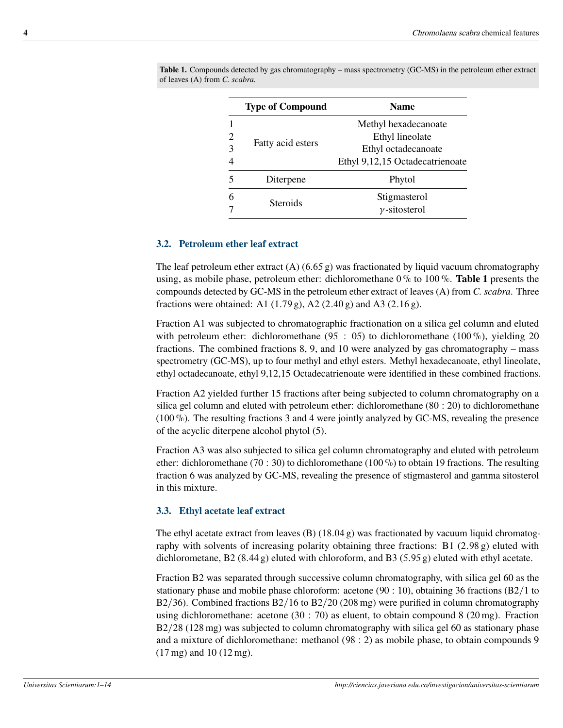|                                       | <b>Type of Compound</b> | <b>Name</b>                                                                                       |  |
|---------------------------------------|-------------------------|---------------------------------------------------------------------------------------------------|--|
| $\overline{2}$<br>3<br>$\overline{4}$ | Fatty acid esters       | Methyl hexadecanoate<br>Ethyl lineolate<br>Ethyl octadecanoate<br>Ethyl 9,12,15 Octadecatrienoate |  |
| 5                                     | Diterpene               | Phytol                                                                                            |  |
| 6                                     | Steroids                | Stigmasterol<br>$\nu$ -sitosterol                                                                 |  |

<span id="page-3-0"></span>**Table 1.** Compounds detected by gas chromatography – mass spectrometry (GC-MS) in the petroleum ether extract of leaves (A) from *C. scabra.*

## **3.2. Petroleum ether leaf extract**

The leaf petroleum ether extract  $(A)$  (6.65 g) was fractionated by liquid vacuum chromatography using, as mobile phase, petroleum ether: dichloromethane 0 % to 100 %. **[Table 1](#page-3-0)** presents the compounds detected by GC-MS in the petroleum ether extract of leaves (A) from *C. scabra*. Three fractions were obtained: A1  $(1.79 \text{ g})$ , A2  $(2.40 \text{ g})$  and A3  $(2.16 \text{ g})$ .

Fraction A1 was subjected to chromatographic fractionation on a silica gel column and eluted with petroleum ether: dichloromethane (95 : 05) to dichloromethane (100 %), yielding 20 fractions. The combined fractions 8, 9, and 10 were analyzed by gas chromatography – mass spectrometry (GC-MS), up to four methyl and ethyl esters. Methyl hexadecanoate, ethyl lineolate, ethyl octadecanoate, ethyl 9,12,15 Octadecatrienoate were identified in these combined fractions.

Fraction A2 yielded further 15 fractions after being subjected to column chromatography on a silica gel column and eluted with petroleum ether: dichloromethane  $(80: 20)$  to dichloromethane  $(100\%)$ . The resulting fractions 3 and 4 were jointly analyzed by GC-MS, revealing the presence of the acyclic diterpene alcohol phytol (5).

Fraction A3 was also subjected to silica gel column chromatography and eluted with petroleum ether: dichloromethane (70 : 30) to dichloromethane (100 %) to obtain 19 fractions. The resulting fraction 6 was analyzed by GC-MS, revealing the presence of stigmasterol and gamma sitosterol in this mixture.

## **3.3. Ethyl acetate leaf extract**

The ethyl acetate extract from leaves  $(B)$  (18.04 g) was fractionated by vacuum liquid chromatography with solvents of increasing polarity obtaining three fractions: B1  $(2.98 \text{ g})$  eluted with dichlorometane, B2 (8.44 g) eluted with chloroform, and B3 (5.95 g) eluted with ethyl acetate.

Fraction B2 was separated through successive column chromatography, with silica gel 60 as the stationary phase and mobile phase chloroform: acetone ( $90 : 10$ ), obtaining 36 fractions ( $B2/1$  to B2/36). Combined fractions B2/16 to B2/20 (208 mg) were purified in column chromatography using dichloromethane: acetone  $(30 : 70)$  as eluent, to obtain compound 8  $(20 \text{ mg})$ . Fraction  $B2/28$  (128 mg) was subjected to column chromatography with silica gel 60 as stationary phase and a mixture of dichloromethane: methanol  $(98:2)$  as mobile phase, to obtain compounds 9 (17 mg) and 10 (12 mg).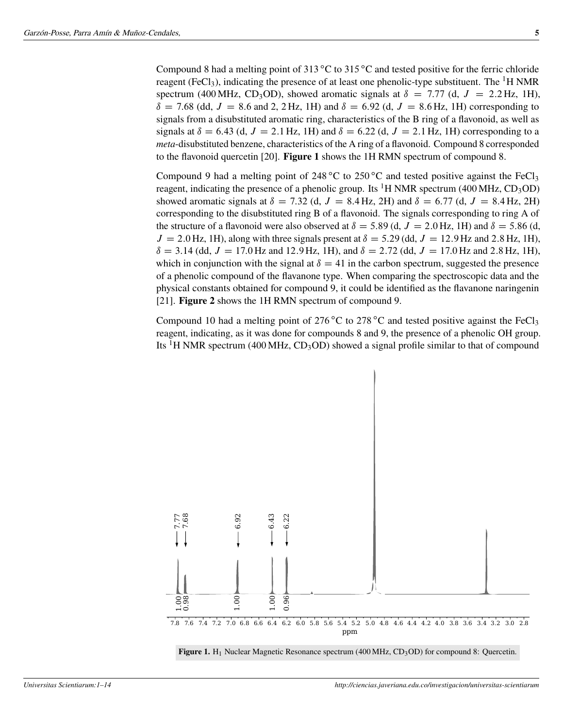Compound 8 had a melting point of  $313^{\circ}$ C to  $315^{\circ}$ C and tested positive for the ferric chloride reagent (FeCl<sub>3</sub>), indicating the presence of at least one phenolic-type substituent. The <sup>1</sup>H NMR spectrum (400 MHz, CD<sub>3</sub>OD), showed aromatic signals at  $\delta = 7.77$  (d,  $J = 2.2$  Hz, 1H),  $\delta = 7.68$  (dd,  $J = 8.6$  and 2, 2 Hz, 1H) and  $\delta = 6.92$  (d,  $J = 8.6$  Hz, 1H) corresponding to signals from a disubstituted aromatic ring, characteristics of the B ring of a flavonoid, as well as signals at  $\delta = 6.43$  (d,  $J = 2.1$  Hz, 1H) and  $\delta = 6.22$  (d,  $J = 2.1$  Hz, 1H) corresponding to a *meta*-disubstituted benzene, characteristics of the A ring of a flavonoid. Compound 8 corresponded to the flavonoid quercetin [\[20\]](#page-10-1). **[Figure 1](#page-4-0)** shows the 1H RMN spectrum of compound 8.

Compound 9 had a melting point of 248 °C to 250 °C and tested positive against the FeCl<sub>3</sub> reagent, indicating the presence of a phenolic group. Its <sup>1</sup>H NMR spectrum (400 MHz, CD<sub>3</sub>OD) showed aromatic signals at  $\delta = 7.32$  (d,  $J = 8.4$  Hz, 2H) and  $\delta = 6.77$  (d,  $J = 8.4$  Hz, 2H) corresponding to the disubstituted ring B of a flavonoid. The signals corresponding to ring A of the structure of a flavonoid were also observed at  $\delta = 5.89$  (d,  $J = 2.0$  Hz, 1H) and  $\delta = 5.86$  (d,  $J = 2.0$  Hz, 1H), along with three signals present at  $\delta = 5.29$  (dd,  $J = 12.9$  Hz and 2.8 Hz, 1H),  $\delta = 3.14$  (dd,  $J = 17.0$  Hz and 12.9 Hz, 1H), and  $\delta = 2.72$  (dd,  $J = 17.0$  Hz and 2.8 Hz, 1H), which in conjunction with the signal at  $\delta = 41$  in the carbon spectrum, suggested the presence of a phenolic compound of the flavanone type. When comparing the spectroscopic data and the physical constants obtained for compound 9, it could be identified as the flavanone naringenin [\[21\]](#page-10-2). **[Figure 2](#page-5-0)** shows the 1H RMN spectrum of compound 9.

Compound 10 had a melting point of 276 °C to 278 °C and tested positive against the FeCl<sub>3</sub> reagent, indicating, as it was done for compounds 8 and 9, the presence of a phenolic OH group. Its <sup>1</sup>H NMR spectrum (400 MHz, CD<sub>3</sub>OD) showed a signal profile similar to that of compound

<span id="page-4-0"></span>

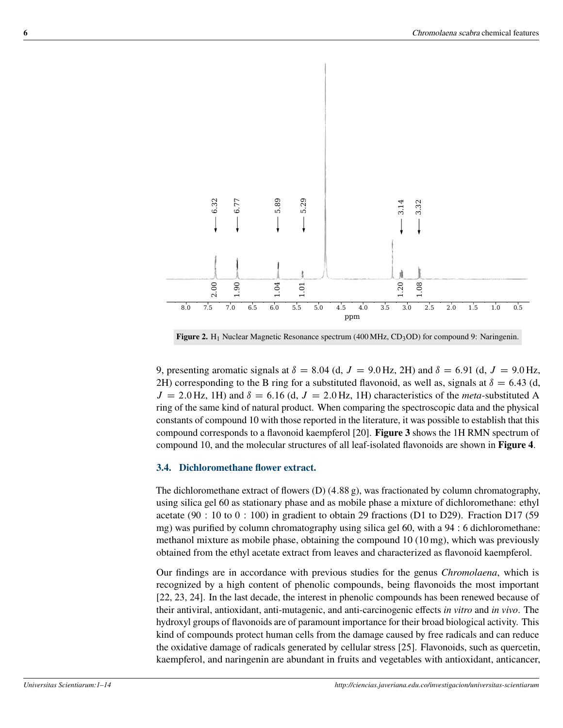<span id="page-5-0"></span>

**Figure 2.** H<sub>1</sub> Nuclear Magnetic Resonance spectrum (400 MHz, CD<sub>3</sub>OD) for compound 9: Naringenin.

9, presenting aromatic signals at  $\delta = 8.04$  (d,  $J = 9.0$  Hz, 2H) and  $\delta = 6.91$  (d,  $J = 9.0$  Hz, 2H) corresponding to the B ring for a substituted flavonoid, as well as, signals at  $\delta = 6.43$  (d,  $J = 2.0$  Hz, 1H) and  $\delta = 6.16$  (d,  $J = 2.0$  Hz, 1H) characteristics of the *meta*-substituted A ring of the same kind of natural product. When comparing the spectroscopic data and the physical constants of compound 10 with those reported in the literature, it was possible to establish that this compound corresponds to a flavonoid kaempferol [\[20\]](#page-10-1). **[Figure 3](#page-6-0)** shows the 1H RMN spectrum of compound 10, and the molecular structures of all leaf-isolated flavonoids are shown in **[Figure 4](#page-7-0)**.

## **3.4. Dichloromethane flower extract.**

The dichloromethane extract of flowers  $(D)$  (4.88 g), was fractionated by column chromatography, using silica gel 60 as stationary phase and as mobile phase a mixture of dichloromethane: ethyl acetate (90 : 10 to 0 : 100) in gradient to obtain 29 fractions (D1 to D29). Fraction D17 (59 mg) was purified by column chromatography using silica gel  $60$ , with a  $94:6$  dichloromethane: methanol mixture as mobile phase, obtaining the compound 10 (10 mg), which was previously obtained from the ethyl acetate extract from leaves and characterized as flavonoid kaempferol.

Our findings are in accordance with previous studies for the genus *Chromolaena*, which is recognized by a high content of phenolic compounds, being flavonoids the most important [\[22,](#page-10-3) [23,](#page-10-4) [24\]](#page-10-5). In the last decade, the interest in phenolic compounds has been renewed because of their antiviral, antioxidant, anti-mutagenic, and anti-carcinogenic effects *in vitro* and *in vivo*. The hydroxyl groups of flavonoids are of paramount importance for their broad biological activity. This kind of compounds protect human cells from the damage caused by free radicals and can reduce the oxidative damage of radicals generated by cellular stress [\[25\]](#page-10-6). Flavonoids, such as quercetin, kaempferol, and naringenin are abundant in fruits and vegetables with antioxidant, anticancer,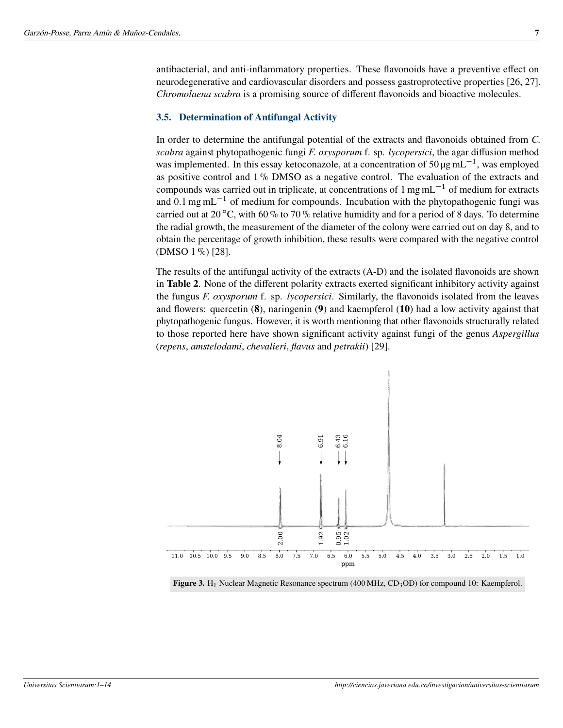antibacterial, and anti-inflammatory properties. These flavonoids have a preventive effect on neurodegenerative and cardiovascular disorders and possess gastroprotective properties [\[26,](#page-10-7) [27\]](#page-10-8). *Chromolaena scabra* is a promising source of different flavonoids and bioactive molecules.

## **3.5. Determination of Antifungal Activity**

In order to determine the antifungal potential of the extracts and flavonoids obtained from *C. scabra* against phytopathogenic fungi *F. oxysporum* f. sp. *lycopersici*, the agar diffusion method was implemented. In this essay ketoconazole, at a concentration of 50  $\mu$ g mL<sup>-1</sup>, was employed as positive control and 1 % DMSO as a negative control. The evaluation of the extracts and compounds was carried out in triplicate, at concentrations of  $1 \text{ mg} \text{ mL}^{-1}$  of medium for extracts and  $0.1$  mg mL<sup>-1</sup> of medium for compounds. Incubation with the phytopathogenic fungi was carried out at 20 °C, with 60 % to 70 % relative humidity and for a period of 8 days. To determine the radial growth, the measurement of the diameter of the colony were carried out on day 8, and to obtain the percentage of growth inhibition, these results were compared with the negative control (DMSO 1 %) [\[28\]](#page-10-9).

The results of the antifungal activity of the extracts (A-D) and the isolated flavonoids are shown in **[Table 2](#page-7-1)**. None of the different polarity extracts exerted significant inhibitory activity against the fungus *F. oxysporum* f. sp. *lycopersici*. Similarly, the flavonoids isolated from the leaves and flowers: quercetin (**8**), naringenin (**9**) and kaempferol (**10**) had a low activity against that phytopathogenic fungus. However, it is worth mentioning that other flavonoids structurally related to those reported here have shown significant activity against fungi of the genus *Aspergillus* (*repens*, *amstelodami*, *chevalieri*, *flavus* and *petrakii*) [\[29\]](#page-11-0).

<span id="page-6-0"></span>

Figure 3. H<sub>1</sub> Nuclear Magnetic Resonance spectrum (400 MHz, CD<sub>3</sub>OD) for compound 10: Kaempferol.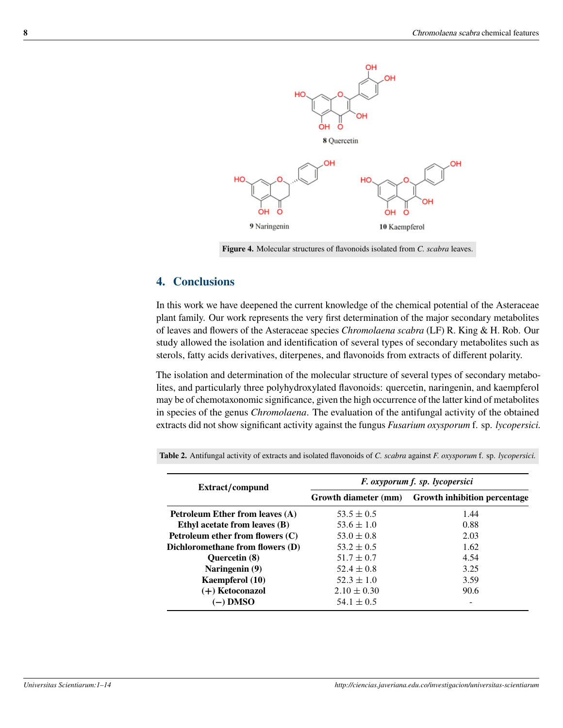<span id="page-7-0"></span>

**Figure 4.** Molecular structures of flavonoids isolated from *C. scabra* leaves.

## **4. Conclusions**

In this work we have deepened the current knowledge of the chemical potential of the Asteraceae plant family. Our work represents the very first determination of the major secondary metabolites of leaves and flowers of the Asteraceae species *Chromolaena scabra* (LF) R. King & H. Rob. Our study allowed the isolation and identification of several types of secondary metabolites such as sterols, fatty acids derivatives, diterpenes, and flavonoids from extracts of different polarity.

The isolation and determination of the molecular structure of several types of secondary metabolites, and particularly three polyhydroxylated flavonoids: quercetin, naringenin, and kaempferol may be of chemotaxonomic significance, given the high occurrence of the latter kind of metabolites in species of the genus *Chromolaena*. The evaluation of the antifungal activity of the obtained extracts did not show significant activity against the fungus *Fusarium oxysporum* f. sp. *lycopersici.*

<span id="page-7-1"></span>

| Extract/compund                    | F. oxyporum f. sp. lycopersici |                                     |  |
|------------------------------------|--------------------------------|-------------------------------------|--|
|                                    | Growth diameter (mm)           | <b>Growth inhibition percentage</b> |  |
| Petroleum Ether from leaves (A)    | $53.5 \pm 0.5$                 | 1.44                                |  |
| Ethyl acetate from leaves (B)      | $53.6 \pm 1.0$                 | 0.88                                |  |
| Petroleum ether from flowers $(C)$ | $53.0 \pm 0.8$                 | 2.03                                |  |
| Dichloromethane from flowers (D)   | $53.2 \pm 0.5$                 | 1.62                                |  |
| <b>Ouercetin</b> (8)               | $51.7 \pm 0.7$                 | 4.54                                |  |
| Naringenin (9)                     | $52.4 \pm 0.8$                 | 3.25                                |  |
| Kaempferol (10)                    | $52.3 \pm 1.0$                 | 3.59                                |  |
| $(+)$ Ketoconazol                  | $2.10 \pm 0.30$                | 90.6                                |  |
| (–) DMSO                           | $54.1 \pm 0.5$                 |                                     |  |

**Table 2.** Antifungal activity of extracts and isolated flavonoids of *C. scabra* against *F. oxysporum* f. sp. *lycopersici.*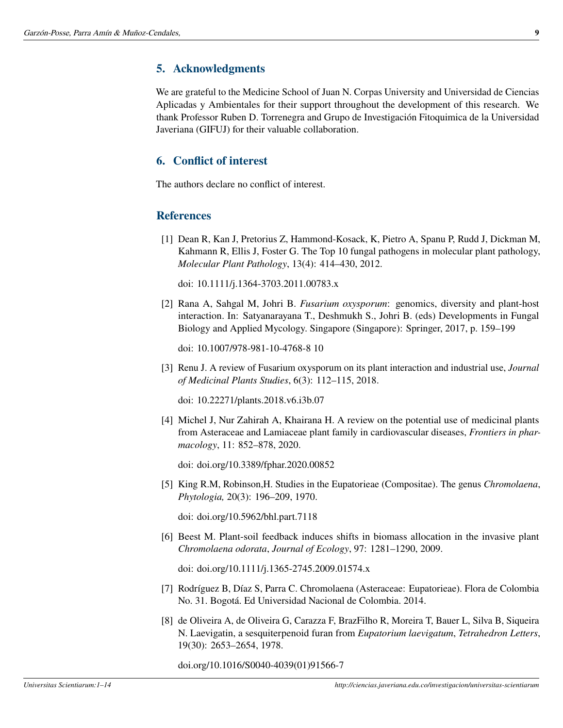# **5. Acknowledgments**

We are grateful to the Medicine School of Juan N. Corpas University and Universidad de Ciencias Aplicadas y Ambientales for their support throughout the development of this research. We thank Professor Ruben D. Torrenegra and Grupo de Investigación Fitoquimica de la Universidad Javeriana (GIFUJ) for their valuable collaboration.

# **6. Conflict of interest**

The authors declare no conflict of interest.

## **References**

<span id="page-8-0"></span>[1] Dean R, Kan J, Pretorius Z, Hammond‐Kosack, K, Pietro A, Spanu P, Rudd J, Dickman M, Kahmann R, Ellis J, Foster G. The Top 10 fungal pathogens in molecular plant pathology, *Molecular Plant Pathology*, 13(4): 414–430, 2012.

doi: [10.1111/j.1364-3703.2011.00783.x](https://doi.org/10.1111/j.1364-3703.2011.00783.x)

<span id="page-8-1"></span>[2] Rana A, Sahgal M, Johri B. *Fusarium oxysporum*: genomics, diversity and plant-host interaction. In: Satyanarayana T., Deshmukh S., Johri B. (eds) Developments in Fungal Biology and Applied Mycology. Singapore (Singapore): Springer, 2017, p. 159–199

doi: [10.1007/978-981-10-4768-8 10](https://doi.org/10.1007/978-981-10-4768-810)

<span id="page-8-2"></span>[3] Renu J. A review of Fusarium oxysporum on its plant interaction and industrial use, *Journal of Medicinal Plants Studies*, 6(3): 112–115, 2018.

doi: [10.22271/plants.2018.v6.i3b.07](https://doi.org/10.22271/plants.2018.v6.i3b.07)

<span id="page-8-3"></span>[4] Michel J, Nur Zahirah A, Khairana H. A review on the potential use of medicinal plants from Asteraceae and Lamiaceae plant family in cardiovascular diseases, *Frontiers in pharmacology*, 11: 852–878, 2020.

doi: [doi.org/10.3389/fphar.2020.00852](https://doi.org/10.3389/fphar.2020.00852)

<span id="page-8-4"></span>[5] King R.M, Robinson,H. Studies in the Eupatorieae (Compositae). The genus *Chromolaena*, *Phytologia,* 20(3): 196–209, 1970.

doi: [doi.org/10.5962/bhl.part.7118](https://doi.org/10.5962/bhl.part.7118)

<span id="page-8-5"></span>[6] Beest M. Plant-soil feedback induces shifts in biomass allocation in the invasive plant *Chromolaena odorata*, *Journal of Ecology*, 97: 1281–1290, 2009.

doi: [doi.org/10.1111/j.1365-2745.2009.01574.x](https://doi.org/10.1111/j.1365-2745.2009.01574.x)

- <span id="page-8-6"></span>[7] Rodríguez B, Díaz S, Parra C. Chromolaena (Asteraceae: Eupatorieae). Flora de Colombia No. 31. Bogotá. Ed Universidad Nacional de Colombia. [2014.](http://ciencias.bogota.unal.edu.co/fileadmin/Facultad_de_Ciencias/Publicaciones/Archivos_Libros/Flora_de_Colombia/Chromolaena.pdf)
- <span id="page-8-7"></span>[8] de Oliveira A, de Oliveira G, Carazza F, BrazFilho R, Moreira T, Bauer L, Silva B, Siqueira N. Laevigatin, a sesquiterpenoid furan from *Eupatorium laevigatum*, *Tetrahedron Letters*, 19(30): 2653–2654, 1978.

doi.org/10.1016/S0040-4039(01)91566-7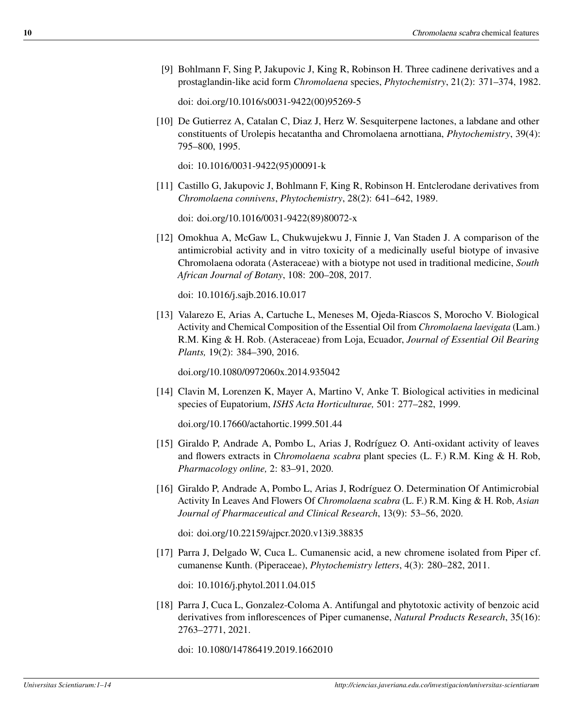<span id="page-9-0"></span>[9] Bohlmann F, Sing P, Jakupovic J, King R, Robinson H. Three cadinene derivatives and a prostaglandin-like acid form *Chromolaena* species, *Phytochemistry*, 21(2): 371–374, 1982.

doi: [doi.org/10.1016/s0031-9422\(00\)95269-5](https://doi.org/10.1016/s0031-9422(00)95269-5)

<span id="page-9-1"></span>[10] De Gutierrez A, Catalan C, Diaz J, Herz W. Sesquiterpene lactones, a labdane and other constituents of Urolepis hecatantha and Chromolaena arnottiana, *Phytochemistry*, 39(4): 795–800, 1995.

doi: [10.1016/0031-9422\(95\)00091-k](https://doi.org/10.1016/0031-9422(95)00091-k)

<span id="page-9-2"></span>[11] Castillo G, Jakupovic J, Bohlmann F, King R, Robinson H. Entclerodane derivatives from *Chromolaena connivens*, *Phytochemistry*, 28(2): 641–642, 1989.

doi: [doi.org/10.1016/0031-9422\(89\)80072-x](https://doi.org/10.1016/0031-9422(89)80072-x)

<span id="page-9-3"></span>[12] Omokhua A, McGaw L, Chukwujekwu J, Finnie J, Van Staden J. A comparison of the antimicrobial activity and in vitro toxicity of a medicinally useful biotype of invasive Chromolaena odorata (Asteraceae) with a biotype not used in traditional medicine, *South African Journal of Botany*, 108: 200–208, 2017.

doi: [10.1016/j.sajb.2016.10.017](https://doi.org/10.1016/j.sajb.2016.10.017)

<span id="page-9-4"></span>[13] Valarezo E, Arias A, Cartuche L, Meneses M, Ojeda-Riascos S, Morocho V. Biological Activity and Chemical Composition of the Essential Oil from *Chromolaena laevigata* (Lam.) R.M. King & H. Rob. (Asteraceae) from Loja, Ecuador, *Journal of Essential Oil Bearing Plants,* 19(2): 384–390, 2016.

[doi.org/10.1080/0972060x.2014.935042](https://doi.org/10.1080/0972060x.2014.935042)

<span id="page-9-5"></span>[14] Clavin M, Lorenzen K, Mayer A, Martino V, Anke T. Biological activities in medicinal species of Eupatorium, *ISHS Acta Horticulturae,* 501: 277–282, 1999.

[doi.org/10.17660/actahortic.1999.501.44](https://doi.org/10.17660/actahortic.1999.501.44)

- <span id="page-9-6"></span>[15] Giraldo P, Andrade A, Pombo L, Arias J, Rodríguez O. Anti-oxidant activity of leaves and flowers extracts in C*hromolaena scabra* plant species (L. F.) R.M. King & H. Rob, *Pharmacology online,* 2: 83–91, [2020.](https://www.researchgate.net/publication/344045529)
- <span id="page-9-7"></span>[16] Giraldo P, Andrade A, Pombo L, Arias J, Rodríguez O. Determination Of Antimicrobial Activity In Leaves And Flowers Of *Chromolaena scabra* (L. F.) R.M. King & H. Rob, *Asian Journal of Pharmaceutical and Clinical Research*, 13(9): 53–56, 2020.

doi: [doi.org/10.22159/ajpcr.2020.v13i9.38835](https://doi.org/10.22159/ajpcr.2020.v13i9.38835)

<span id="page-9-8"></span>[17] Parra J, Delgado W, Cuca L. Cumanensic acid, a new chromene isolated from Piper cf. cumanense Kunth. (Piperaceae), *Phytochemistry letters*, 4(3): 280–282, 2011.

doi: [10.1016/j.phytol.2011.04.015](https://doi.org/10.1016/j.phytol.2011.04.015)

<span id="page-9-9"></span>[18] Parra J, Cuca L, Gonzalez-Coloma A. Antifungal and phytotoxic activity of benzoic acid derivatives from inflorescences of Piper cumanense, *Natural Products Research*, 35(16): 2763–2771, 2021.

doi: [10.1080/14786419.2019.1662010](https://doi.org/10.1080/14786419.2019.1662010)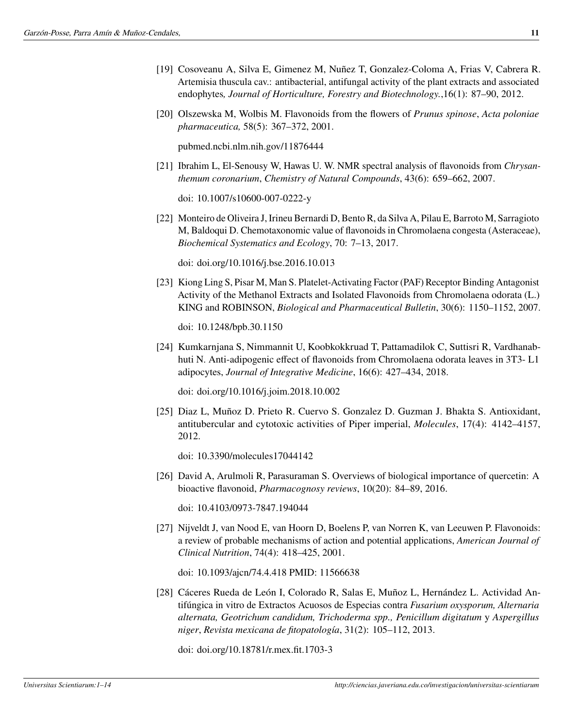- <span id="page-10-0"></span>[19] Cosoveanu A, Silva E, Gimenez M, Nuñez T, Gonzalez-Coloma A, Frias V, Cabrera R. Artemisia thuscula cav.: antibacterial, antifungal activity of the plant extracts and associated endophytes*, Journal of Horticulture, Forestry and Biotechnology.*,16(1): 87–90, [2012.](https://core.ac.uk/download/pdf/45445846.pdf)
- <span id="page-10-1"></span>[20] Olszewska M, Wolbis M. Flavonoids from the flowers of *Prunus spinose*, *Acta poloniae pharmaceutica,* 58(5): 367–372, 2001.

[pubmed.ncbi.nlm.nih.gov/11876444](https://pubmed.ncbi.nlm.nih.gov/11876444)

<span id="page-10-2"></span>[21] Ibrahim L, El-Senousy W, Hawas U. W. NMR spectral analysis of flavonoids from *Chrysanthemum coronarium*, *Chemistry of Natural Compounds*, 43(6): 659–662, 2007.

doi: [10.1007/s10600-007-0222-y](https://doi.org/10.1007/s10600-007-0222-y)

<span id="page-10-3"></span>[22] Monteiro de Oliveira J, Irineu Bernardi D, Bento R, da Silva A, Pilau E, Barroto M, Sarragioto M, Baldoqui D. Chemotaxonomic value of flavonoids in Chromolaena congesta (Asteraceae), *Biochemical Systematics and Ecology*, 70: 7–13, 2017.

doi: [doi.org/10.1016/j.bse.2016.10.013](https://doi.org/10.1016/j.bse.2016.10.013)

<span id="page-10-4"></span>[23] Kiong Ling S, Pisar M, Man S. Platelet-Activating Factor (PAF) Receptor Binding Antagonist Activity of the Methanol Extracts and Isolated Flavonoids from Chromolaena odorata (L.) KING and ROBINSON, *Biological and Pharmaceutical Bulletin*, 30(6): 1150–1152, 2007.

doi: [10.1248/bpb.30.1150](https://doi.org/10.1248/bpb.30.1150)

<span id="page-10-5"></span>[24] Kumkarnjana S, Nimmannit U, Koobkokkruad T, Pattamadilok C, Suttisri R, Vardhanabhuti N. Anti-adipogenic effect of flavonoids from Chromolaena odorata leaves in 3T3- L1 adipocytes, *Journal of Integrative Medicine*, 16(6): 427–434, 2018.

doi: [doi.org/10.1016/j.joim.2018.10.002](https://doi.org/10.1016/j.joim.2018.10.002)

<span id="page-10-6"></span>[25] Diaz L, Muñoz D. Prieto R. Cuervo S. Gonzalez D. Guzman J. Bhakta S. Antioxidant, antitubercular and cytotoxic activities of Piper imperial, *Molecules*, 17(4): 4142–4157, 2012.

doi: [10.3390/molecules17044142](https://doi.org/10.3390/molecules17044142)

<span id="page-10-7"></span>[26] David A, Arulmoli R, Parasuraman S. Overviews of biological importance of quercetin: A bioactive flavonoid, *Pharmacognosy reviews*, 10(20): 84–89, 2016.

doi: [10.4103/0973-7847.194044](https://doi.org/10.4103/0973-7847.194044)

<span id="page-10-8"></span>[27] Nijveldt J, van Nood E, van Hoorn D, Boelens P, van Norren K, van Leeuwen P. Flavonoids: a review of probable mechanisms of action and potential applications, *American Journal of Clinical Nutrition*, 74(4): 418–425, 2001.

doi: [10.1093/ajcn/74.4.418](https://doi.org/10.1093/ajcn/74.4.418) PMID: 11566638

<span id="page-10-9"></span>[28] Cáceres Rueda de León I, Colorado R, Salas E, Muñoz L, Hernández L. Actividad Antifúngica in vitro de Extractos Acuosos de Especias contra *Fusarium oxysporum, Alternaria alternata, Geotrichum candidum, Trichoderma spp., Penicillum digitatum* y *Aspergillus niger*, *Revista mexicana de fitopatología*, 31(2): 105–112, 2013.

doi: [doi.org/10.18781/r.mex.fit.1703-3](https://doi.org/10.18781/r.mex.fit.1703-3)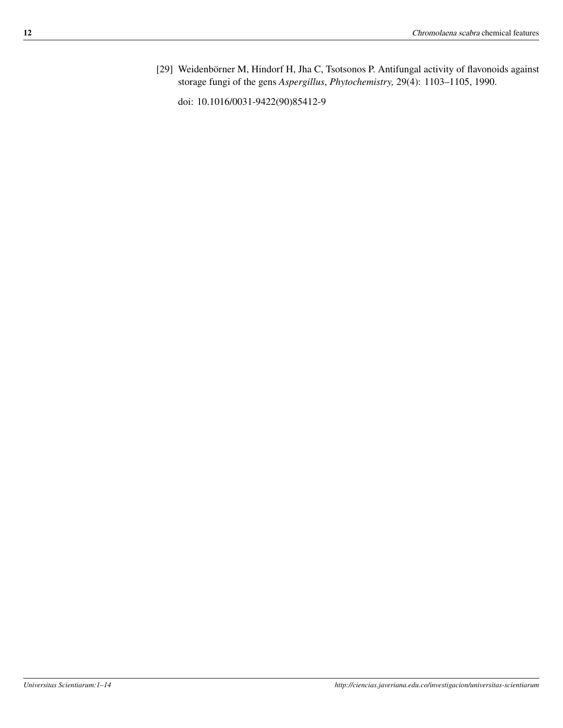<span id="page-11-0"></span>[29] Weidenbörner M, Hindorf H, Jha C, Tsotsonos P. Antifungal activity of flavonoids against storage fungi of the gens *Aspergillus*, *Phytochemistry,* 29(4): 1103–1105, 1990.

doi: [10.1016/0031-9422\(90\)85412-9](https://doi.org/10.1016/0031-9422(90)85412-9)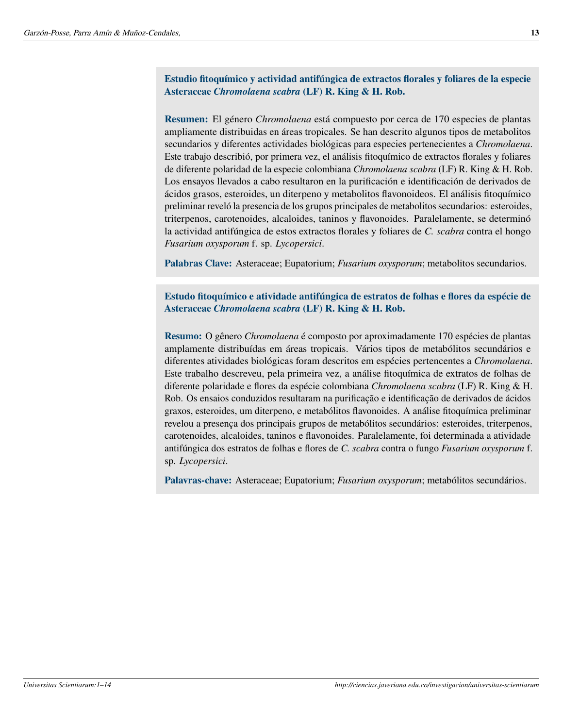**Estudio fitoquímico y actividad antifúngica de extractos florales y foliares de la especie Asteraceae** *Chromolaena scabra* **(LF) R. King & H. Rob.**

**Resumen:** El género *Chromolaena* está compuesto por cerca de 170 especies de plantas ampliamente distribuidas en áreas tropicales. Se han descrito algunos tipos de metabolitos secundarios y diferentes actividades biológicas para especies pertenecientes a *Chromolaena*. Este trabajo describió, por primera vez, el análisis fitoquímico de extractos florales y foliares de diferente polaridad de la especie colombiana *Chromolaena scabra* (LF) R. King & H. Rob. Los ensayos llevados a cabo resultaron en la purificación e identificación de derivados de ácidos grasos, esteroides, un diterpeno y metabolitos flavonoideos. El análisis fitoquímico preliminar reveló la presencia de los grupos principales de metabolitos secundarios: esteroides, triterpenos, carotenoides, alcaloides, taninos y flavonoides. Paralelamente, se determinó la actividad antifúngica de estos extractos florales y foliares de *C. scabra* contra el hongo *Fusarium oxysporum* f. sp. *Lycopersici*.

**Palabras Clave:** Asteraceae; Eupatorium; *Fusarium oxysporum*; metabolitos secundarios.

**Estudo fitoquímico e atividade antifúngica de estratos de folhas e flores da espécie de Asteraceae** *Chromolaena scabra* **(LF) R. King & H. Rob.**

**Resumo:** O gênero *Chromolaena* é composto por aproximadamente 170 espécies de plantas amplamente distribuídas em áreas tropicais. Vários tipos de metabólitos secundários e diferentes atividades biológicas foram descritos em espécies pertencentes a *Chromolaena*. Este trabalho descreveu, pela primeira vez, a análise fitoquímica de extratos de folhas de diferente polaridade e flores da espécie colombiana *Chromolaena scabra* (LF) R. King & H. Rob. Os ensaios conduzidos resultaram na purificação e identificação de derivados de ácidos graxos, esteroides, um diterpeno, e metabólitos flavonoides. A análise fitoquímica preliminar revelou a presença dos principais grupos de metabólitos secundários: esteroides, triterpenos, carotenoides, alcaloides, taninos e flavonoides. Paralelamente, foi determinada a atividade antifúngica dos estratos de folhas e flores de *C. scabra* contra o fungo *Fusarium oxysporum* f. sp. *Lycopersici*.

**Palavras-chave:** Asteraceae; Eupatorium; *Fusarium oxysporum*; metabólitos secundários.